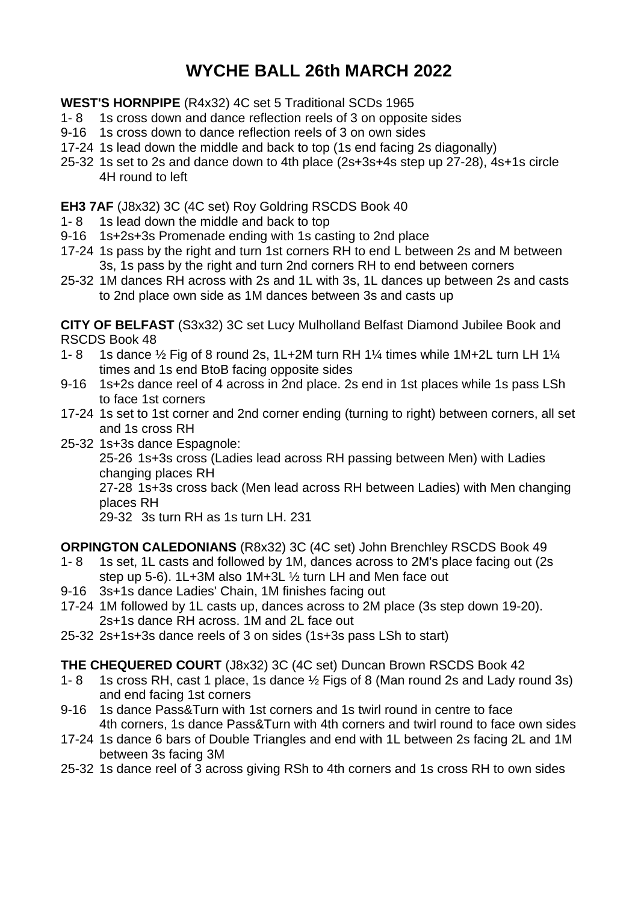# **WYCHE BALL 26th MARCH 2022**

**WEST'S HORNPIPE** (R4x32) 4C set 5 Traditional SCDs 1965

- 1- 8 1s cross down and dance reflection reels of 3 on opposite sides
- 9-16 1s cross down to dance reflection reels of 3 on own sides
- 17-24 1s lead down the middle and back to top (1s end facing 2s diagonally)
- 25-32 1s set to 2s and dance down to 4th place (2s+3s+4s step up 27-28), 4s+1s circle 4H round to left

## **EH3 7AF** (J8x32) 3C (4C set) Roy Goldring RSCDS Book 40

- 1- 8 1s lead down the middle and back to top
- 9-16 1s+2s+3s Promenade ending with 1s casting to 2nd place
- 17-24 1s pass by the right and turn 1st corners RH to end L between 2s and M between 3s, 1s pass by the right and turn 2nd corners RH to end between corners
- 25-32 1M dances RH across with 2s and 1L with 3s, 1L dances up between 2s and casts to 2nd place own side as 1M dances between 3s and casts up

**CITY OF BELFAST** (S3x32) 3C set Lucy Mulholland Belfast Diamond Jubilee Book and RSCDS Book 48

- 1- 8 1s dance  $\frac{1}{2}$  Fig of 8 round 2s, 1L+2M turn RH 1¼ times while 1M+2L turn LH 1¼ times and 1s end BtoB facing opposite sides
- 9-16 1s+2s dance reel of 4 across in 2nd place. 2s end in 1st places while 1s pass LSh to face 1st corners
- 17-24 1s set to 1st corner and 2nd corner ending (turning to right) between corners, all set and 1s cross RH
- 25-32 1s+3s dance Espagnole:

25-26 1s+3s cross (Ladies lead across RH passing between Men) with Ladies changing places RH

27-28 1s+3s cross back (Men lead across RH between Ladies) with Men changing places RH

29-32 3s turn RH as 1s turn LH. 231

**ORPINGTON CALEDONIANS** (R8x32) 3C (4C set) John Brenchley RSCDS Book 49

- 1- 8 1s set, 1L casts and followed by 1M, dances across to 2M's place facing out (2s step up 5-6). 1L+3M also 1M+3L ½ turn LH and Men face out
- 9-16 3s+1s dance Ladies' Chain, 1M finishes facing out
- 17-24 1M followed by 1L casts up, dances across to 2M place (3s step down 19-20). 2s+1s dance RH across. 1M and 2L face out
- 25-32 2s+1s+3s dance reels of 3 on sides (1s+3s pass LSh to start)

## **THE CHEQUERED COURT** (J8x32) 3C (4C set) Duncan Brown RSCDS Book 42

- 1- 8 1s cross RH, cast 1 place, 1s dance ½ Figs of 8 (Man round 2s and Lady round 3s) and end facing 1st corners
- 9-16 1s dance Pass&Turn with 1st corners and 1s twirl round in centre to face 4th corners, 1s dance Pass&Turn with 4th corners and twirl round to face own sides
- 17-24 1s dance 6 bars of Double Triangles and end with 1L between 2s facing 2L and 1M between 3s facing 3M
- 25-32 1s dance reel of 3 across giving RSh to 4th corners and 1s cross RH to own sides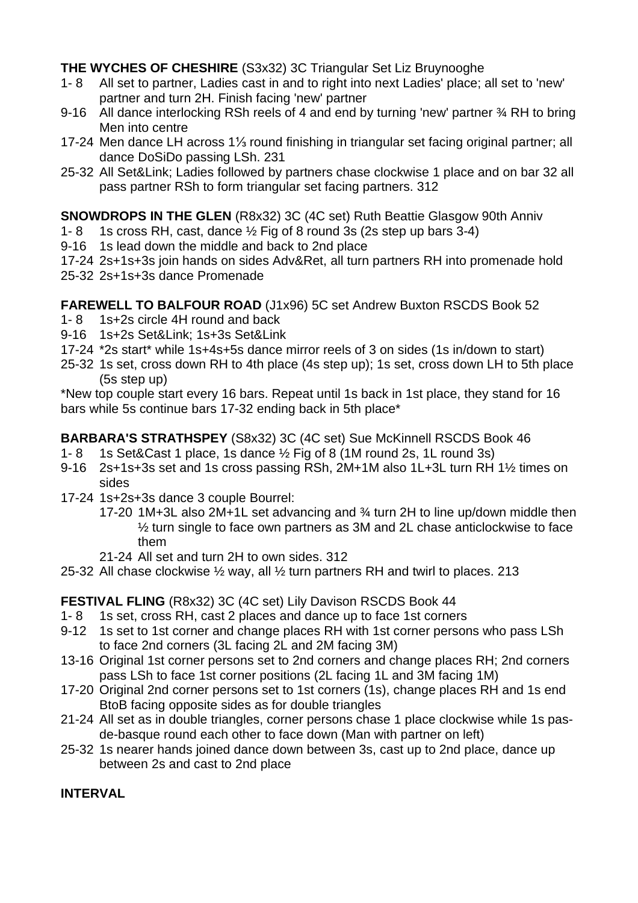**THE WYCHES OF CHESHIRE** (S3x32) 3C Triangular Set Liz Bruynooghe

- 1- 8 All set to partner, Ladies cast in and to right into next Ladies' place; all set to 'new' partner and turn 2H. Finish facing 'new' partner
- 9-16 All dance interlocking RSh reels of 4 and end by turning 'new' partner % RH to bring Men into centre
- 17-24 Men dance LH across 1⅓ round finishing in triangular set facing original partner; all dance DoSiDo passing LSh. 231
- 25-32 All Set&Link; Ladies followed by partners chase clockwise 1 place and on bar 32 all pass partner RSh to form triangular set facing partners. 312

**SNOWDROPS IN THE GLEN** (R8x32) 3C (4C set) Ruth Beattie Glasgow 90th Anniv

- 1- 8 1s cross RH, cast, dance  $\frac{1}{2}$  Fig of 8 round 3s (2s step up bars 3-4)
- 9-16 1s lead down the middle and back to 2nd place
- 17-24 2s+1s+3s join hands on sides Adv&Ret, all turn partners RH into promenade hold
- 25-32 2s+1s+3s dance Promenade

**FAREWELL TO BALFOUR ROAD** (J1x96) 5C set Andrew Buxton RSCDS Book 52

- 1- 8 1s+2s circle 4H round and back
- 9-16 1s+2s Set&Link; 1s+3s Set&Link
- 17-24 \*2s start\* while 1s+4s+5s dance mirror reels of 3 on sides (1s in/down to start)
- 25-32 1s set, cross down RH to 4th place (4s step up); 1s set, cross down LH to 5th place (5s step up)

\*New top couple start every 16 bars. Repeat until 1s back in 1st place, they stand for 16 bars while 5s continue bars 17-32 ending back in 5th place\*

**BARBARA'S STRATHSPEY** (S8x32) 3C (4C set) Sue McKinnell RSCDS Book 46

- 1- 8 1s Set&Cast 1 place, 1s dance  $\frac{1}{2}$  Fig of 8 (1M round 2s, 1L round 3s)
- 9-16 2s+1s+3s set and 1s cross passing RSh, 2M+1M also 1L+3L turn RH 1½ times on sides
- 17-24 1s+2s+3s dance 3 couple Bourrel:
	- 17-20 1M+3L also 2M+1L set advancing and ¾ turn 2H to line up/down middle then ½ turn single to face own partners as 3M and 2L chase anticlockwise to face them
	- 21-24 All set and turn 2H to own sides. 312
- 25-32 All chase clockwise ½ way, all ½ turn partners RH and twirl to places. 213

## **FESTIVAL FLING** (R8x32) 3C (4C set) Lily Davison RSCDS Book 44

- 1- 8 1s set, cross RH, cast 2 places and dance up to face 1st corners
- 9-12 1s set to 1st corner and change places RH with 1st corner persons who pass LSh to face 2nd corners (3L facing 2L and 2M facing 3M)
- 13-16 Original 1st corner persons set to 2nd corners and change places RH; 2nd corners pass LSh to face 1st corner positions (2L facing 1L and 3M facing 1M)
- 17-20 Original 2nd corner persons set to 1st corners (1s), change places RH and 1s end BtoB facing opposite sides as for double triangles
- 21-24 All set as in double triangles, corner persons chase 1 place clockwise while 1s pasde-basque round each other to face down (Man with partner on left)
- 25-32 1s nearer hands joined dance down between 3s, cast up to 2nd place, dance up between 2s and cast to 2nd place

## **INTERVAL**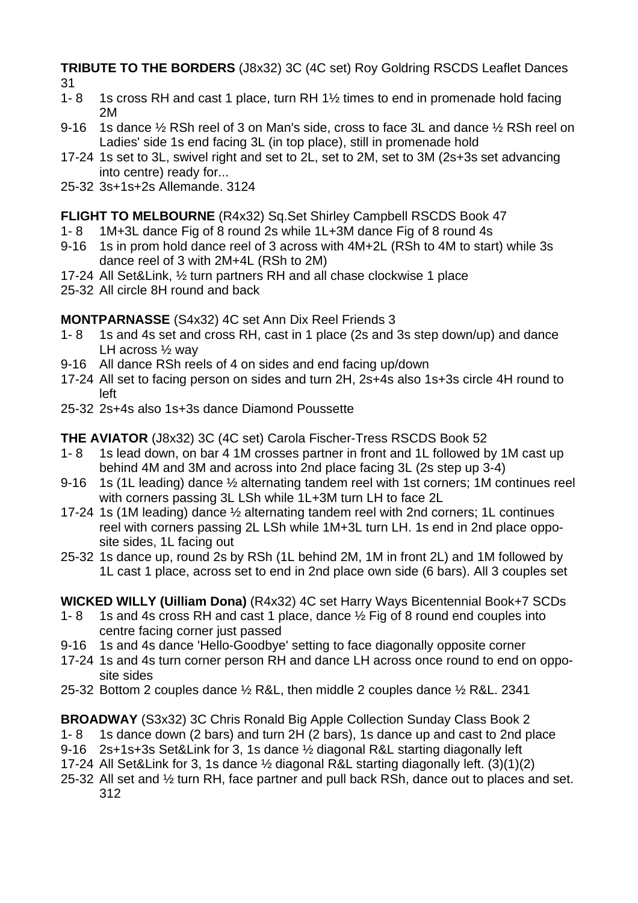**TRIBUTE TO THE BORDERS** (J8x32) 3C (4C set) Roy Goldring RSCDS Leaflet Dances

- 
- 31<br>1- 8 1s cross RH and cast 1 place, turn RH  $1\frac{1}{2}$  times to end in promenade hold facing 2M
- 9-16 1s dance  $\frac{1}{2}$  RSh reel of 3 on Man's side, cross to face 3L and dance  $\frac{1}{2}$  RSh reel on Ladies' side 1s end facing 3L (in top place), still in promenade hold
- 17-24 1s set to 3L, swivel right and set to 2L, set to 2M, set to 3M (2s+3s set advancing into centre) ready for...
- 25-32 3s+1s+2s Allemande. 3124

## **FLIGHT TO MELBOURNE** (R4x32) Sq.Set Shirley Campbell RSCDS Book 47

- 1- 8 1M+3L dance Fig of 8 round 2s while 1L+3M dance Fig of 8 round 4s
- 9-16 1s in prom hold dance reel of 3 across with 4M+2L (RSh to 4M to start) while 3s dance reel of 3 with 2M+4L (RSh to 2M)
- 17-24 All Set&Link, ½ turn partners RH and all chase clockwise 1 place
- 25-32 All circle 8H round and back

**MONTPARNASSE** (S4x32) 4C set Ann Dix Reel Friends 3

- 1- 8 1s and 4s set and cross RH, cast in 1 place (2s and 3s step down/up) and dance LH across ½ way
- 9-16 All dance RSh reels of 4 on sides and end facing up/down
- 17-24 All set to facing person on sides and turn 2H, 2s+4s also 1s+3s circle 4H round to left
- 25-32 2s+4s also 1s+3s dance Diamond Poussette

**THE AVIATOR** (J8x32) 3C (4C set) Carola Fischer-Tress RSCDS Book 52

- 1- 8 1s lead down, on bar 4 1M crosses partner in front and 1L followed by 1M cast up behind 4M and 3M and across into 2nd place facing 3L (2s step up 3-4)
- 9-16 1s (1L leading) dance ½ alternating tandem reel with 1st corners; 1M continues reel with corners passing 3L LSh while 1L+3M turn LH to face 2L
- 17-24 1s (1M leading) dance ½ alternating tandem reel with 2nd corners; 1L continues reel with corners passing 2L LSh while 1M+3L turn LH. 1s end in 2nd place opposite sides, 1L facing out
- 25-32 1s dance up, round 2s by RSh (1L behind 2M, 1M in front 2L) and 1M followed by 1L cast 1 place, across set to end in 2nd place own side (6 bars). All 3 couples set

**WICKED WILLY (Uilliam Dona)** (R4x32) 4C set Harry Ways Bicentennial Book+7 SCDs

- 1- 8 1s and 4s cross RH and cast 1 place, dance ½ Fig of 8 round end couples into centre facing corner just passed
- 9-16 1s and 4s dance 'Hello-Goodbye' setting to face diagonally opposite corner
- 17-24 1s and 4s turn corner person RH and dance LH across once round to end on opposite sides
- 25-32 Bottom 2 couples dance ½ R&L, then middle 2 couples dance ½ R&L. 2341

**BROADWAY** (S3x32) 3C Chris Ronald Big Apple Collection Sunday Class Book 2

- 1- 8 1s dance down (2 bars) and turn 2H (2 bars), 1s dance up and cast to 2nd place
- 9-16 2s+1s+3s Set&Link for 3, 1s dance ½ diagonal R&L starting diagonally left
- 17-24 All Set&Link for 3, 1s dance ½ diagonal R&L starting diagonally left. (3)(1)(2)
- 25-32 All set and ½ turn RH, face partner and pull back RSh, dance out to places and set. 312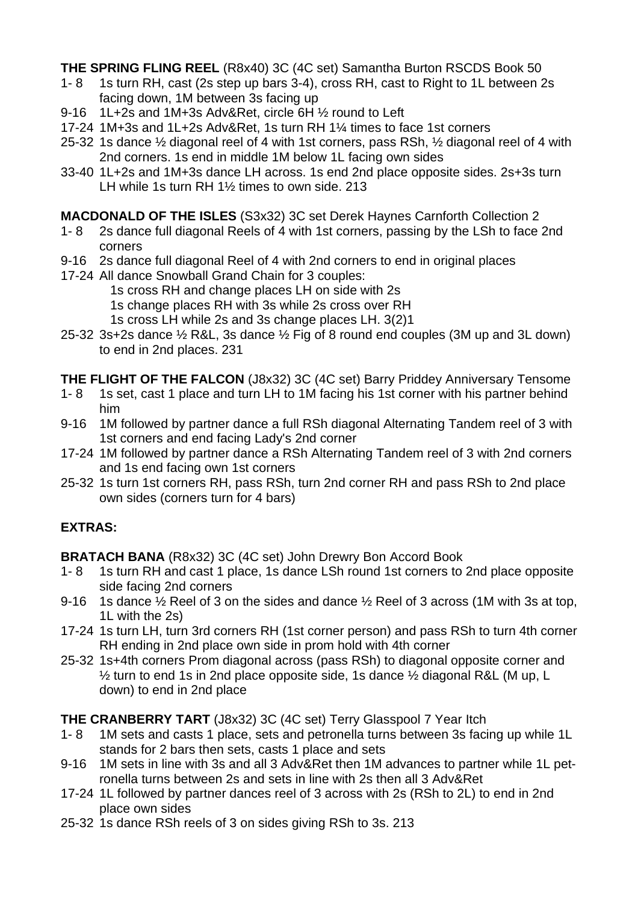**THE SPRING FLING REEL** (R8x40) 3C (4C set) Samantha Burton RSCDS Book 50

- 1- 8 1s turn RH, cast (2s step up bars 3-4), cross RH, cast to Right to 1L between 2s facing down, 1M between 3s facing up
- 9-16 1L+2s and 1M+3s Adv&Ret, circle 6H ½ round to Left
- 17-24 1M+3s and 1L+2s Adv&Ret, 1s turn RH 1¼ times to face 1st corners
- 25-32 1s dance ½ diagonal reel of 4 with 1st corners, pass RSh, ½ diagonal reel of 4 with 2nd corners. 1s end in middle 1M below 1L facing own sides
- 33-40 1L+2s and 1M+3s dance LH across. 1s end 2nd place opposite sides. 2s+3s turn LH while 1s turn RH 1½ times to own side. 213

**MACDONALD OF THE ISLES** (S3x32) 3C set Derek Haynes Carnforth Collection 2

- 1- 8 2s dance full diagonal Reels of 4 with 1st corners, passing by the LSh to face 2nd corners
- 9-16 2s dance full diagonal Reel of 4 with 2nd corners to end in original places
- 17-24 All dance Snowball Grand Chain for 3 couples:
	- 1s cross RH and change places LH on side with 2s
	- 1s change places RH with 3s while 2s cross over RH
	- 1s cross LH while 2s and 3s change places LH. 3(2)1
- 25-32 3s+2s dance ½ R&L, 3s dance ½ Fig of 8 round end couples (3M up and 3L down) to end in 2nd places. 231
- **THE FLIGHT OF THE FALCON** (J8x32) 3C (4C set) Barry Priddey Anniversary Tensome
- 1- 8 1s set, cast 1 place and turn LH to 1M facing his 1st corner with his partner behind him
- 9-16 1M followed by partner dance a full RSh diagonal Alternating Tandem reel of 3 with 1st corners and end facing Lady's 2nd corner
- 17-24 1M followed by partner dance a RSh Alternating Tandem reel of 3 with 2nd corners and 1s end facing own 1st corners
- 25-32 1s turn 1st corners RH, pass RSh, turn 2nd corner RH and pass RSh to 2nd place own sides (corners turn for 4 bars)

## **EXTRAS:**

**BRATACH BANA** (R8x32) 3C (4C set) John Drewry Bon Accord Book

- 1- 8 1s turn RH and cast 1 place, 1s dance LSh round 1st corners to 2nd place opposite side facing 2nd corners
- 9-16 1s dance ½ Reel of 3 on the sides and dance ½ Reel of 3 across (1M with 3s at top, 1L with the 2s)
- 17-24 1s turn LH, turn 3rd corners RH (1st corner person) and pass RSh to turn 4th corner RH ending in 2nd place own side in prom hold with 4th corner
- 25-32 1s+4th corners Prom diagonal across (pass RSh) to diagonal opposite corner and ½ turn to end 1s in 2nd place opposite side, 1s dance ½ diagonal R&L (M up, L down) to end in 2nd place

## **THE CRANBERRY TART** (J8x32) 3C (4C set) Terry Glasspool 7 Year Itch

- 1- 8 1M sets and casts 1 place, sets and petronella turns between 3s facing up while 1L stands for 2 bars then sets, casts 1 place and sets
- 9-16 1M sets in line with 3s and all 3 Adv&Ret then 1M advances to partner while 1L petronella turns between 2s and sets in line with 2s then all 3 Adv&Ret
- 17-24 1L followed by partner dances reel of 3 across with 2s (RSh to 2L) to end in 2nd place own sides
- 25-32 1s dance RSh reels of 3 on sides giving RSh to 3s. 213